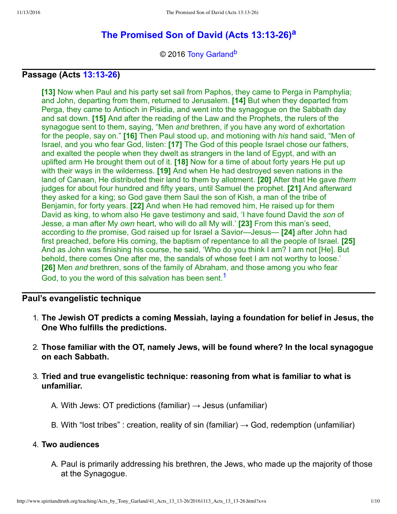# **[The Promised Son of David \(Acts 13:1326\)](http://www.spiritandtruth.org/teaching/Acts_by_Tony_Garland/41_Acts_13_13-26/index.htm)[a](#page-9-0)**

<span id="page-0-2"></span><span id="page-0-1"></span>© 2016 [Tony Garland](http://www.spiritandtruth.org/id/tg.htm)<sup>[b](#page-9-1)</sup>

# **Passage (Acts [13:1326\)](http://www.spiritandtruth.org/bibles/nasb/b44c013.htm#Acts_C13V13)**

**[13]** Now when Paul and his party set sail from Paphos, they came to Perga in Pamphylia; and John, departing from them, returned to Jerusalem. **[14]** But when they departed from Perga, they came to Antioch in Pisidia, and went into the synagogue on the Sabbath day and sat down. **[15]** And after the reading of the Law and the Prophets, the rulers of the synagogue sent to them, saying, "Men *and* brethren, if you have any word of exhortation for the people, say on." **[16]** Then Paul stood up, and motioning with *his* hand said, "Men of Israel, and you who fear God, listen: **[17]** The God of this people Israel chose our fathers, and exalted the people when they dwelt as strangers in the land of Egypt, and with an uplifted arm He brought them out of it. **[18]** Now for a time of about forty years He put up with their ways in the wilderness. **[19]** And when He had destroyed seven nations in the land of Canaan, He distributed their land to them by allotment. **[20]** After that He gave *them* judges for about four hundred and fifty years, until Samuel the prophet. **[21]** And afterward they asked for a king; so God gave them Saul the son of Kish, a man of the tribe of Benjamin, for forty years. **[22]** And when He had removed him, He raised up for them David as king, to whom also He gave testimony and said, 'I have found David the *son* of Jesse, a man after My *own* heart, who will do all My will.' **[23]** From this man's seed, according to *the* promise, God raised up for Israel a Savior—Jesus— **[24]** after John had first preached, before His coming, the baptism of repentance to all the people of Israel. **[25]** And as John was finishing his course, he said, 'Who do you think I am? I am not [He]. But behold, there comes One after me, the sandals of whose feet I am not worthy to loose.' **[26]** Men *and* brethren, sons of the family of Abraham, and those among you who fear God, to you the word of this salvation has been sent.<sup>[1](#page-9-2)</sup>

### **Paul's evangelistic technique**

- <span id="page-0-0"></span>1. **The Jewish OT predicts a coming Messiah, laying a foundation for belief in Jesus, the One Who fulfills the predictions.**
- 2. **Those familiar with the OT, namely Jews, will be found where? In the local synagogue on each Sabbath.**
- 3. **Tried and true evangelistic technique: reasoning from what is familiar to what is unfamiliar.**
	- A. With Jews: OT predictions (familiar)  $\rightarrow$  Jesus (unfamiliar)
	- B. With "lost tribes" : creation, reality of sin (familiar)  $\rightarrow$  God, redemption (unfamiliar)

#### 4. **Two audiences**

A. Paul is primarily addressing his brethren, the Jews, who made up the majority of those at the Synagogue.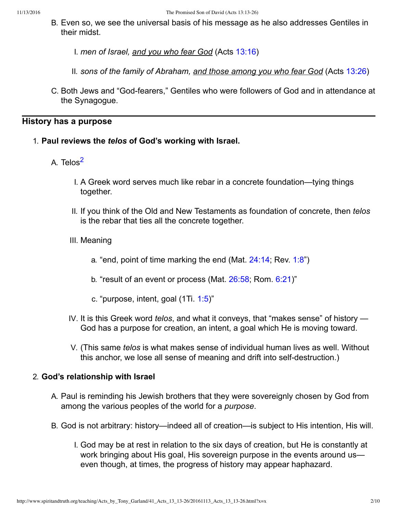- B. Even so, we see the universal basis of his message as he also addresses Gentiles in their midst.
	- I. *men of Israel, and you who fear God* (Acts [13:16](http://www.spiritandtruth.org/bibles/nasb/b44c013.htm#Acts_C13V16))
	- II. *sons of the family of Abraham, and those among you who fear God* (Acts [13:26](http://www.spiritandtruth.org/bibles/nasb/b44c013.htm#Acts_C13V26))
- C. Both Jews and "God-fearers," Gentiles who were followers of God and in attendance at the Synagogue.

# **History has a purpose**

- <span id="page-1-0"></span>1. **Paul reviews the** *telos* **of God's working with Israel.**
	- A. Telos<sup>[2](#page-9-3)</sup>
		- I. A Greek word serves much like rebar in a concrete foundation—tying things together.
		- II. If you think of the Old and New Testaments as foundation of concrete, then *telos* is the rebar that ties all the concrete together.
		- III. Meaning
			- a. "end, point of time marking the end (Mat.  $24:14$ ; Rev.  $1:8"$ )
			- b. "result of an event or process (Mat. [26:58;](http://www.spiritandtruth.org/bibles/nasb/b40c026.htm#Mat._C26V58) Rom. [6:21\)](http://www.spiritandtruth.org/bibles/nasb/b45c006.htm#Rom._C6V21)"
			- c. "purpose, intent, goal (1Ti. [1:5\)](http://www.spiritandtruth.org/bibles/nasb/b54c001.htm#1Ti._C1V5)"
		- IV. It is this Greek word *telos*, and what it conveys, that "makes sense" of history God has a purpose for creation, an intent, a goal which He is moving toward.
		- V. (This same *telos* is what makes sense of individual human lives as well. Without this anchor, we lose all sense of meaning and drift into self-destruction.)

# 2. **God's relationship with Israel**

- A. Paul is reminding his Jewish brothers that they were sovereignly chosen by God from among the various peoples of the world for a *purpose*.
- B. God is not arbitrary: history—indeed all of creation—is subject to His intention, His will.
	- I. God may be at rest in relation to the six days of creation, but He is constantly at work bringing about His goal, His sovereign purpose in the events around us even though, at times, the progress of history may appear haphazard.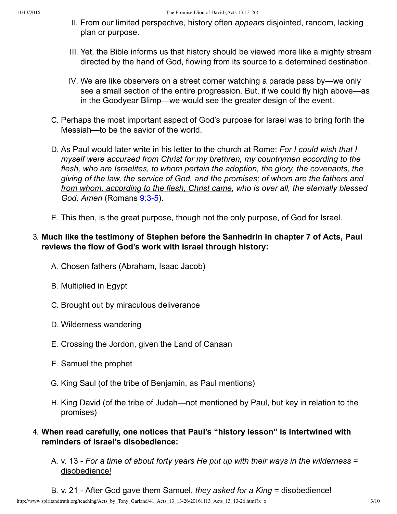- II. From our limited perspective, history often *appears* disjointed, random, lacking plan or purpose.
- III. Yet, the Bible informs us that history should be viewed more like a mighty stream directed by the hand of God, flowing from its source to a determined destination.
- IV. We are like observers on a street corner watching a parade pass by—we only see a small section of the entire progression. But, if we could fly high above—as in the Goodyear Blimp—we would see the greater design of the event.
- C. Perhaps the most important aspect of God's purpose for Israel was to bring forth the Messiah—to be the savior of the world.
- D. As Paul would later write in his letter to the church at Rome: *For I could wish that I myself were accursed from Christ for my brethren, my countrymen according to the flesh, who are Israelites, to whom pertain the adoption, the glory, the covenants, the giving of the law, the service of God, and the promises; of whom are the fathers and from whom, according to the flesh, Christ came, who is over all, the eternally blessed God. Amen* (Romans 9:3-5).
- E. This then, is the great purpose, though not the only purpose, of God for Israel.

# 3. **Much like the testimony of Stephen before the Sanhedrin in chapter 7 of Acts, Paul reviews the flow of God's work with Israel through history:**

- A. Chosen fathers (Abraham, Isaac Jacob)
- B. Multiplied in Egypt
- C. Brought out by miraculous deliverance
- D. Wilderness wandering
- E. Crossing the Jordon, given the Land of Canaan
- F. Samuel the prophet
- G. King Saul (of the tribe of Benjamin, as Paul mentions)
- H. King David (of the tribe of Judah—not mentioned by Paul, but key in relation to the promises)
- 4. **When read carefully, one notices that Paul's "history lesson" is intertwined with reminders of Israel's disobedience:**
	- A. v. 13 *For a time of about forty years He put up with their ways in the wilderness* = disobedience!
	- B. v. 21 After God gave them Samuel, *they asked for a King* = disobedience!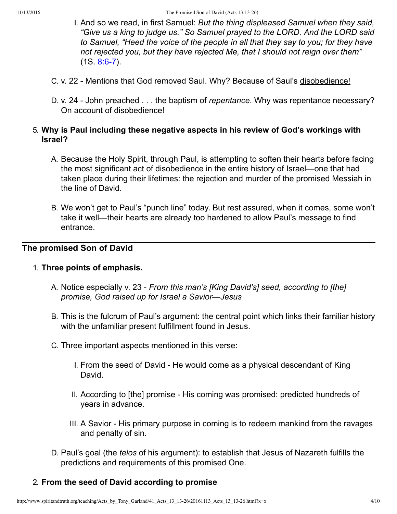- I. And so we read, in first Samuel: *But the thing displeased Samuel when they said, "Give us a king to judge us." So Samuel prayed to the LORD. And the LORD said to Samuel, "Heed the voice of the people in all that they say to you; for they have not rejected you, but they have rejected Me, that I should not reign over them"*  $(1S. 8:6-7)$ .
- C. v. 22 Mentions that God removed Saul. Why? Because of Saul's disobedience!
- D. v. 24 John preached . . . the baptism of *repentance*. Why was repentance necessary? On account of disobedience!

# 5. **Why is Paul including these negative aspects in his review of God's workings with Israel?**

- A. Because the Holy Spirit, through Paul, is attempting to soften their hearts before facing the most significant act of disobedience in the entire history of Israel—one that had taken place during their lifetimes: the rejection and murder of the promised Messiah in the line of David.
- B. We won't get to Paul's "punch line" today. But rest assured, when it comes, some won't take it well—their hearts are already too hardened to allow Paul's message to find entrance.

# **The promised Son of David**

### 1. **Three points of emphasis.**

- A. Notice especially v. 23 *From this man's [King David's] seed, according to [the] promise, God raised up for Israel a Savior—Jesus*
- B. This is the fulcrum of Paul's argument: the central point which links their familiar history with the unfamiliar present fulfillment found in Jesus.
- C. Three important aspects mentioned in this verse:
	- I. From the seed of David He would come as a physical descendant of King David.
	- II. According to [the] promise His coming was promised: predicted hundreds of years in advance.
	- III. A Savior His primary purpose in coming is to redeem mankind from the ravages and penalty of sin.
- D. Paul's goal (the *telos* of his argument): to establish that Jesus of Nazareth fulfills the predictions and requirements of this promised One.

# 2. **From the seed of David according to promise**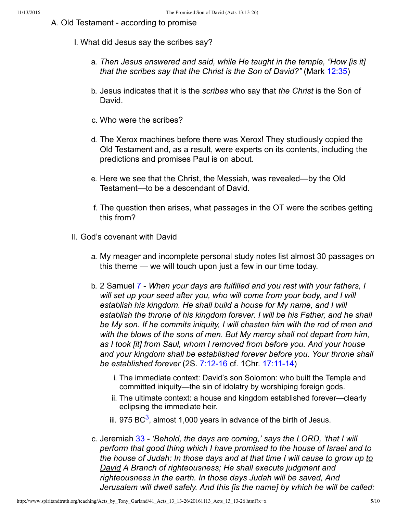- <span id="page-4-0"></span>A. Old Testament - according to promise
	- I. What did Jesus say the scribes say?
		- a. *Then Jesus answered and said, while He taught in the temple, "How [is it] that the scribes say that the Christ is the Son of David?"* (Mark [12:35\)](http://www.spiritandtruth.org/bibles/nasb/b41c012.htm#Mark_C12V35)
		- b. Jesus indicates that it is the *scribes* who say that *the Christ* is the Son of David.
		- c. Who were the scribes?
		- d. The Xerox machines before there was Xerox! They studiously copied the Old Testament and, as a result, were experts on its contents, including the predictions and promises Paul is on about.
		- e. Here we see that the Christ, the Messiah, was revealed—by the Old Testament—to be a descendant of David.
		- f. The question then arises, what passages in the OT were the scribes getting this from?
	- II. God's covenant with David
		- a. My meager and incomplete personal study notes list almost 30 passages on this theme — we will touch upon just a few in our time today.
		- b. 2 Samuel [7](http://www.spiritandtruth.org/bibles/nasb/b10c007.htm#2S._C7V1)  *When your days are fulfilled and you rest with your fathers, I will set up your seed after you, who will come from your body, and I will establish his kingdom. He shall build a house for My name, and I will establish the throne of his kingdom forever. I will be his Father, and he shall be My son. If he commits iniquity, I will chasten him with the rod of men and with the blows of the sons of men. But My mercy shall not depart from him, as I took [it] from Saul, whom I removed from before you. And your house and your kingdom shall be established forever before you. Your throne shall be established forever* (2S. 7:12-16 cf. 1Chr. 17:11-14)
			- i. The immediate context: David's son Solomon: who built the Temple and committed iniquity—the sin of idolatry by worshiping foreign gods.
			- ii. The ultimate context: a house and kingdom established forever—clearly eclipsing the immediate heir.
			- iii. 975 BC $^3$  $^3$ , almost 1,000 years in advance of the birth of Jesus.
		- c. Jeremiah [33](http://www.spiritandtruth.org/bibles/nasb/b24c033.htm#Jer._C33V1) *'Behold, the days are coming,' says the LORD, 'that I will perform that good thing which I have promised to the house of Israel and to the house of Judah: In those days and at that time I will cause to grow up to David A Branch of righteousness; He shall execute judgment and righteousness in the earth. In those days Judah will be saved, And Jerusalem will dwell safely. And this [is the name] by which he will be called:*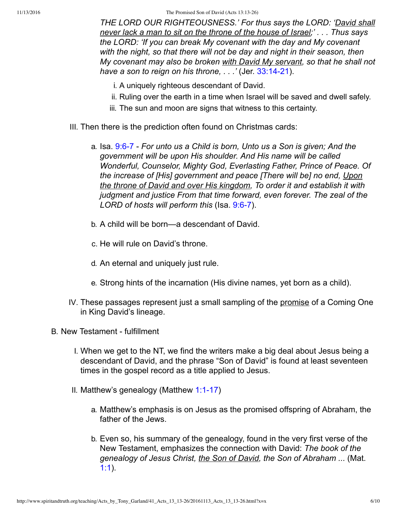11/13/2016 The Promised Son of David (Acts 13:13-26)

*THE LORD OUR RIGHTEOUSNESS.' For thus says the LORD: 'David shall never lack a man to sit on the throne of the house of Israel;' . . . Thus says the LORD: 'If you can break My covenant with the day and My covenant with the night, so that there will not be day and night in their season, then My covenant may also be broken with David My servant, so that he shall not have a son to reign on his throne, ...'* (Jer. 33:14-21).

- i. A uniquely righteous descendant of David.
- ii. Ruling over the earth in a time when Israel will be saved and dwell safely.
- iii. The sun and moon are signs that witness to this certainty.
- III. Then there is the prediction often found on Christmas cards:
	- a. Isa. [9:67](http://www.spiritandtruth.org/bibles/nasb/b23c009.htm#Isa._C9V6)  *For unto us a Child is born, Unto us a Son is given; And the government will be upon His shoulder. And His name will be called Wonderful, Counselor, Mighty God, Everlasting Father, Prince of Peace. Of the increase of [His] government and peace [There will be] no end, Upon the throne of David and over His kingdom, To order it and establish it with judgment and justice From that time forward, even forever. The zeal of the LORD of hosts will perform this* (Isa. [9:67](http://www.spiritandtruth.org/bibles/nasb/b23c009.htm#Isa._C9V6)).
	- b. A child will be born—a descendant of David.
	- c. He will rule on David's throne.
	- d. An eternal and uniquely just rule.
	- e. Strong hints of the incarnation (His divine names, yet born as a child).
- IV. These passages represent just a small sampling of the promise of a Coming One in King David's lineage.
- B. New Testament fulfillment
	- I. When we get to the NT, we find the writers make a big deal about Jesus being a descendant of David, and the phrase "Son of David" is found at least seventeen times in the gospel record as a title applied to Jesus.
	- II. Matthew's genealogy (Matthew 1:1-17)
		- a. Matthew's emphasis is on Jesus as the promised offspring of Abraham, the father of the Jews.
		- b. Even so, his summary of the genealogy, found in the very first verse of the New Testament, emphasizes the connection with David: *The book of the genealogy of Jesus Christ, the Son of David, the Son of Abraham ...* (Mat. [1:1](http://www.spiritandtruth.org/bibles/nasb/b40c001.htm#Mat._C1V1)).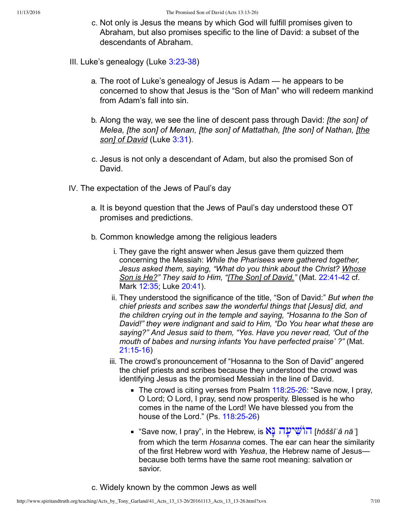- c. Not only is Jesus the means by which God will fulfill promises given to Abraham, but also promises specific to the line of David: a subset of the descendants of Abraham.
- III. Luke's genealogy (Luke  $3:23-38$ )
	- a. The root of Luke's genealogy of Jesus is Adam he appears to be concerned to show that Jesus is the "Son of Man" who will redeem mankind from Adam's fall into sin.
	- b. Along the way, we see the line of descent pass through David: *[the son] of Melea, [the son] of Menan, [the son] of Mattathah, [the son] of Nathan, [the son] of David* (Luke [3:31\)](http://www.spiritandtruth.org/bibles/nasb/b42c003.htm#Luke_C3V31).
	- c. Jesus is not only a descendant of Adam, but also the promised Son of David.
- IV. The expectation of the Jews of Paul's day
	- a. It is beyond question that the Jews of Paul's day understood these OT promises and predictions.
	- b. Common knowledge among the religious leaders
		- i. They gave the right answer when Jesus gave them quizzed them concerning the Messiah: *While the Pharisees were gathered together, Jesus asked them, saying, "What do you think about the Christ? Whose* Son is He?" They said to Him, "*[The Son] of David.*" (Mat. 22:41-42 cf. Mark [12:35](http://www.spiritandtruth.org/bibles/nasb/b41c012.htm#Mark_C12V35); Luke [20:41](http://www.spiritandtruth.org/bibles/nasb/b42c020.htm#Luke_C20V41)).
		- ii. They understood the significance of the title, "Son of David:" *But when the chief priests and scribes saw the wonderful things that [Jesus] did, and the children crying out in the temple and saying, "Hosanna to the Son of David!" they were indignant and said to Him, "Do You hear what these are saying?" And Jesus said to them, "Yes. Have you never read, 'Out of the mouth of babes and nursing infants You have perfected praise' ?"* (Mat. 21:15-16)
		- iii. The crowd's pronouncement of "Hosanna to the Son of David" angered the chief priests and scribes because they understood the crowd was identifying Jesus as the promised Messiah in the line of David.
			- The crowd is citing verses from Psalm  $118:25-26$ : "Save now, I pray, O Lord; O Lord, I pray, send now prosperity. Blessed is he who comes in the name of the Lord! We have blessed you from the house of the Lord."  $(Ps. 118:25-26)$
			- *"*Save now, I pray", in the Hebrew, is ר**ֹוֹשִׁיעֲה [**hôššîʿâ nā ] from which the term *Hosanna* comes. The ear can hear the similarity of the first Hebrew word with *Yeshua*, the Hebrew name of Jesus because both terms have the same root meaning: salvation or savior.

c. Widely known by the common Jews as well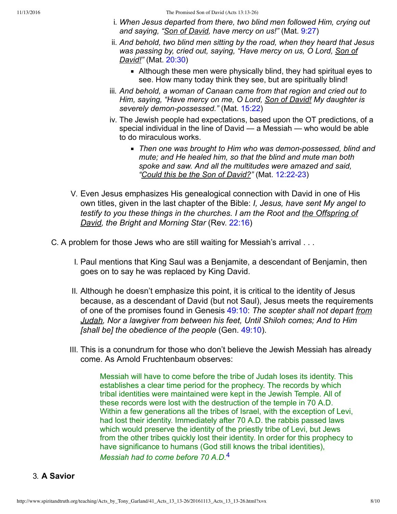- i. *When Jesus departed from there, two blind men followed Him, crying out and saying, "Son of David, have mercy on us!"* (Mat. [9:27\)](http://www.spiritandtruth.org/bibles/nasb/b40c009.htm#Mat._C9V27)
- ii. *And behold, two blind men sitting by the road, when they heard that Jesus was passing by, cried out, saying, "Have mercy on us, O Lord, Son of David!"* (Mat. [20:30](http://www.spiritandtruth.org/bibles/nasb/b40c020.htm#Mat._C20V30))
	- Although these men were physically blind, they had spiritual eyes to see. How many today think they see, but are spiritually blind!
- iii. *And behold, a woman of Canaan came from that region and cried out to Him, saying, "Have mercy on me, O Lord, Son of David! My daughter is severely demon-possessed."* (Mat. [15:22\)](http://www.spiritandtruth.org/bibles/nasb/b40c015.htm#Mat._C15V22)
- iv. The Jewish people had expectations, based upon the OT predictions, of a special individual in the line of David — a Messiah — who would be able to do miraculous works.
	- *Then one was brought to Him who was demonpossessed, blind and mute; and He healed him, so that the blind and mute man both spoke and saw. And all the multitudes were amazed and said,* "Could this be the Son of David?" (Mat. 12:22-23)
- V. Even Jesus emphasizes His genealogical connection with David in one of His own titles, given in the last chapter of the Bible: *I, Jesus, have sent My angel to testify to you these things in the churches. I am the Root and the Offspring of David, the Bright and Morning Star* (Rev. [22:16](http://www.spiritandtruth.org/bibles/nasb/b66c022.htm#Rev._C22V16))
- C. A problem for those Jews who are still waiting for Messiah's arrival . . .
	- I. Paul mentions that King Saul was a Benjamite, a descendant of Benjamin, then goes on to say he was replaced by King David.
	- II. Although he doesn't emphasize this point, it is critical to the identity of Jesus because, as a descendant of David (but not Saul), Jesus meets the requirements of one of the promises found in Genesis [49:10:](http://www.spiritandtruth.org/bibles/nasb/b01c049.htm#Gen._C49V10) *The scepter shall not depart from Judah, Nor a lawgiver from between his feet, Until Shiloh comes; And to Him [shall be] the obedience of the people* (Gen. [49:10](http://www.spiritandtruth.org/bibles/nasb/b01c049.htm#Gen._C49V10)).
	- III. This is a conundrum for those who don't believe the Jewish Messiah has already come. As Arnold Fruchtenbaum observes:

<span id="page-7-0"></span>Messiah will have to come before the tribe of Judah loses its identity. This establishes a clear time period for the prophecy. The records by which tribal identities were maintained were kept in the Jewish Temple. All of these records were lost with the destruction of the temple in 70 A.D. Within a few generations all the tribes of Israel, with the exception of Levi, had lost their identity. Immediately after 70 A.D. the rabbis passed laws which would preserve the identity of the priestly tribe of Levi, but Jews from the other tribes quickly lost their identity. In order for this prophecy to have significance to humans (God still knows the tribal identities), *Messiah had to come before 70 A.D.*[4](#page-9-5)

# 3. **A Savior**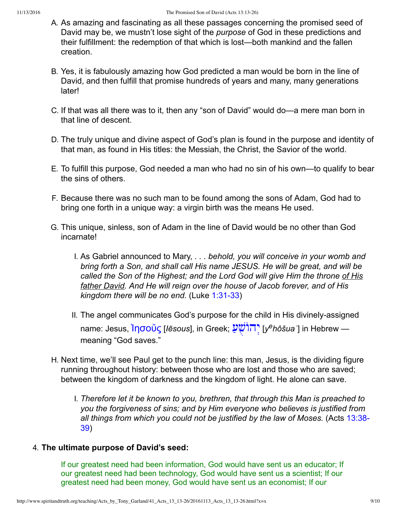- A. As amazing and fascinating as all these passages concerning the promised seed of David may be, we mustn't lose sight of the *purpose* of God in these predictions and their fulfillment: the redemption of that which is lost—both mankind and the fallen creation.
- B. Yes, it is fabulously amazing how God predicted a man would be born in the line of David, and then fulfill that promise hundreds of years and many, many generations later!
- C. If that was all there was to it, then any "son of David" would do—a mere man born in that line of descent.
- D. The truly unique and divine aspect of God's plan is found in the purpose and identity of that man, as found in His titles: the Messiah, the Christ, the Savior of the world.
- E. To fulfill this purpose, God needed a man who had no sin of his own—to qualify to bear the sins of others.
- F. Because there was no such man to be found among the sons of Adam, God had to bring one forth in a unique way: a virgin birth was the means He used.
- G. This unique, sinless, son of Adam in the line of David would be no other than God incarnate!
	- I. As Gabriel announced to Mary, *. . . behold, you will conceive in your womb and bring forth a Son, and shall call His name JESUS. He will be great, and will be called the Son of the Highest; and the Lord God will give Him the throne of His father David. And He will reign over the house of Jacob forever, and of His kingdom there will be no end.* (Luke 1:31-33)
	- II. The angel communicates God's purpose for the child in His divinely-assigned name: Jesus, Ἰ<mark>ησοὔς</mark> [*Iēsous*], in Greek; עֲעָ<sup>ּיָ</sup> [*y<sup>e</sup>hôšuaʿ*] in Hebrew meaning "God saves."
- H. Next time, we'll see Paul get to the punch line: this man, Jesus, is the dividing figure running throughout history: between those who are lost and those who are saved; between the kingdom of darkness and the kingdom of light. He alone can save.
	- I. *Therefore let it be known to you, brethren, that through this Man is preached to you the forgiveness of sins; and by Him everyone who believes is justified from [all things from which you could not be justified by the law of Moses.](http://www.spiritandtruth.org/bibles/nasb/b44c013.htm#Acts_C13V38)* (Acts 13:38 39)

# 4. **The ultimate purpose of David's seed:**

If our greatest need had been information, God would have sent us an educator; If our greatest need had been technology, God would have sent us a scientist; If our greatest need had been money, God would have sent us an economist; If our